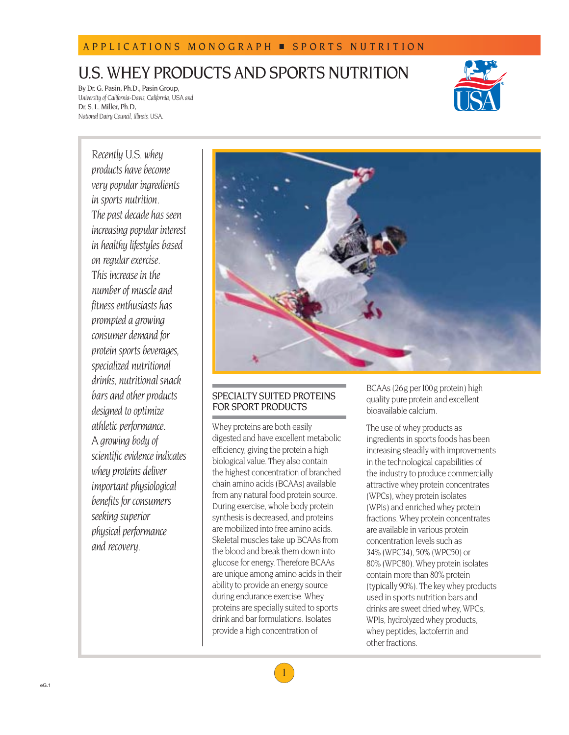# APPLICATIONS MONOGRAPH ■ SPORTS N U TRITION

# U.S. WHEY PRODUCTS AND SPORTS NUTRITION

By Dr. G. Pasin, Ph.D., Pasin Group, *University of California-Davis, California, USA and*  Dr. S. L. Miller, Ph.D, *National Dairy Council, Illinois, USA.*



*Recently U.S. whey products have become very popular ingredients in sports nutrition. The past decade has seen increasing popular interest in healthy lifestyles based on regular exercise. This increase in the number of muscle and fitness enthusiasts has prompted a growing consumer demand for protein sports beverages, specialized nutritional drinks, nutritional snack bars and other products designed to optimize athletic performance. A growing body of scientific evidence indicates whey proteins deliver important physiological benefits for consumers seeking superior physical performance and recovery.*



# SPECIALTY SUITED PROTEINS FOR SPORT PRODUCTS

Whey proteins are both easily digested and have excellent metabolic efficiency, giving the protein a high biological value. They also contain the highest concentration of branched chain amino acids (BCAAs) available from any natural food protein source. During exercise, whole body protein synthesis is decreased, and proteins are mobilized into free amino acids. Skeletal muscles take up BCAAs from the blood and break them down into glucose for energy. Therefore BCAAs are unique among amino acids in their ability to provide an energy source during endurance exercise. Whey proteins are specially suited to sports drink and bar formulations. Isolates provide a high concentration of

BCAAs (26g per100g protein) high quality pure protein and excellent bioavailable calcium.

The use of whey products as ingredients in sports foods has been increasing steadily with improvements in the technological capabilities of the industry to produce commercially attractive whey protein concentrates (WPCs), whey protein isolates (WPIs) and enriched whey protein fractions. Whey protein concentrates are available in various protein concentration levels such as 34% (WPC34), 50% (WPC50) or 80% (WPC80). Whey protein isolates contain more than 80% protein (typically 90%). The key whey products used in sports nutrition bars and drinks are sweet dried whey, WPCs, WPIs, hydrolyzed whey products, whey peptides, lactoferrin and other fractions.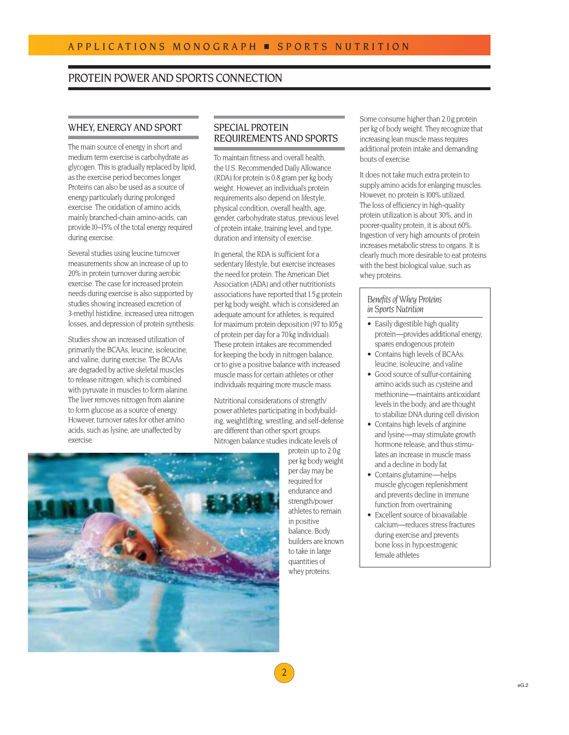# PROTEIN POWER AND SPORTS CONNECTION

# WHEY, ENERGY AND SPORT

The main source of energy in short and medium term exercise is carbohydrate as glycogen. This is gradually replaced by lipid, as the exercise period becomes longer. Proteins can also be used as a source of energy particularly during prolonged exercise. The oxidation of amino acids, mainly branched-chain amino-acids, can provide 10–15% of the total energy required during exercise.

Several studies using leucine turnover measurements show an increase of up to 20% in protein turnover during aerobic exercise. The case for increased protein needs during exercise is also supported by studies showing increased excretion of 3-methyl histidine, increased urea nitrogen losses, and depression of protein synthesis.

Studies show an increased utilization of primarily the BCAAs, leucine, isoleucine, and valine, during exercise. The BCAAs are degraded by active skeletal muscles to release nitrogen, which is combined with pyruvate in muscles to form alanine. The liver removes nitrogen from alanine to form glucose as a source of energy. However, turnover rates for other amino acids, such as lysine, are unaffected by exercise.

# SPECIAL PROTEIN REQUIREMENTS AND SPORTS

To maintain fitness and overall health, the U.S. Recommended Daily Allowance (RDA) for protein is 0.8 gram per kg body weight. However, an individual's protein requirements also depend on lifestyle, physical condition, overall health, age, gender, carbohydrate status, previous level of protein intake, training level, and type, duration and intensity of exercise.

In general, the RDA is sufficient for a sedentary lifestyle, but exercise increases the need for protein. The American Diet Association (ADA) and other nutritionists associations have reported that 1.5 g protein per kg body weight, which is considered an adequate amount for athletes, is required for maximum protein deposition (97 to 105 g of protein per day for a 70kg individual). These protein intakes are recommended for keeping the body in nitrogen balance, orto give a positive balance with increased muscle mass for certain athletes or other individuals requiring more muscle mass.

Nutritional considerations of strength/ power athletes participating in bodybuilding, weightlifting, wrestling, and self-defense are different than other sport groups. Nitrogen balance studies indicate levels of



protein up to 2.0g per kg body weight per day may be required for endurance and strength/power athletes to remain in positive balance. Body builders are known to take in large quantities of whey proteins.

Some consume higher than 2.0g protein per kg of body weight. They recognize that increasing lean muscle mass requires additional protein intake and demanding bouts of exercise.

It does not take much extra protein to supply amino acids for enlarging muscles. However, no protein is 100% utilized. The loss of efficiency in high-quality protein utilization is about 30%, and in poorer-quality protein, it is about 60%. Ingestion of very high amounts of protein increases metabolic stress to organs. It is clearly much more desirable to eat proteins with the best biological value, such as whey proteins.

# *Benefits of Whey Proteins in Sports Nutrition*

- Easily digestible high quality protein—provides additional energy, spares endogenous protein
- Contains high levels of BCAAs: leucine, isoleucine, and valine
- Good source of sulfur-containing amino acids such as cysteine and methionine—maintains antioxidant levels in the body, and are thought to stabilize DNA during cell division
- Contains high levels of arginine and lysine—may stimulate growth hormone release, and thus stimulates an increase in muscle mass and a decline in body fat
- Contains glutamine—helps muscle glycogen replenishment and prevents decline in immune function from overtraining
- Excellent source of bioavailable calcium—reduces stress fractures during exercise and prevents bone loss in hypoestrogenic female athletes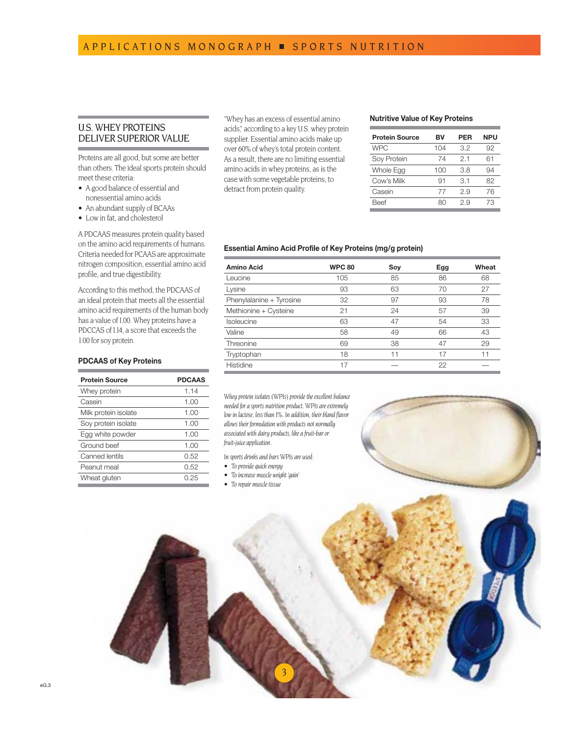# U.S. WHEY PROTEINS DELIVER SUPERIOR VALUE

Proteins are all good, but some are better than others. The ideal sports protein should meet these criteria:

- A good balance of essential and nonessential amino acids
- An abundant supply of BCAAs
- Low in fat, and cholesterol

A PDCAAS measures protein quality based on the amino acid requirements of humans. Criteria needed for PCAAS are approximate nitrogen composition, essential amino acid profile, and true digestibility.

According to this method, the PDCAAS of an ideal protein that meets all the essential amino acid requirements of the human body has a value of 1.00. Whey proteins have a PDCCAS of 1.14, a score that exceeds the 1.00 for soy protein.

# **PDCAAS of Key Proteins**

| <b>Protein Source</b> | <b>PDCAAS</b> |
|-----------------------|---------------|
| Whey protein          | 1.14          |
| Casein                | 1.00          |
| Milk protein isolate  | 1.00          |
| Soy protein isolate   | 1.00          |
| Egg white powder      | 1.00          |
| Ground beef           | 1.00          |
| <b>Canned lentils</b> | 0.52          |
| Peanut meal           | 0.52          |
| Wheat gluten          | 0.25          |
|                       |               |

''Whey has an excess of essential amino acids,'' according to a key U.S. whey protein supplier. Essential amino acids make up over 60% of whey's total protein content. As a result, there are no limiting essential amino acids in whey proteins, as is the case with some vegetable proteins, to detract from protein quality.

#### **Nutritive Value of Key Proteins**

| <b>Protein Source</b> | вv  | PER | <b>NPU</b> |
|-----------------------|-----|-----|------------|
| <b>WPC</b>            | 104 | 3.2 | 92         |
| Soy Protein           | 74  | 2.1 | 61         |
| Whole Egg             | 100 | 3.8 | 94         |
| Cow's Milk            | 91  | 3.1 | 82         |
| Casein                | 77  | 29  | 76         |
| Beef                  | яr  | 29  | 73         |

## **Essential Amino Acid Profile of Key Proteins (mg/g protein)**

| <b>Amino Acid</b>        | <b>WPC 80</b> | Soy | Egg | Wheat |
|--------------------------|---------------|-----|-----|-------|
| Leucine                  | 105           | 85  | 86  | 68    |
| Lysine                   | 93            | 63  | 70  | 27    |
| Phenylalanine + Tyrosine | 32            | 97  | 93  | 78    |
| Methionine + Cysteine    | 21            | 24  | 57  | 39    |
| Isoleucine               | 63            | 47  | 54  | 33    |
| Valine                   | 58            | 49  | 66  | 43    |
| Threonine                | 69            | 38  | 47  | 29    |
| Tryptophan               | 18            | 11  | 17  | 11    |
| Histidine                | 17            |     | 22  |       |

*Whey protein isolates (WPIs) provide the excellent balance needed for a sports nutrition product. WPIs are extremely low in lactose, less than1%. In addition, their bland flavor allows their formulation with products not normally associated with dairy products, like a fruit-bar or fruit-juice application.*

*In sports drinks and bars WPIs are used:*

- *• To provide quick energy*
- *• To increase muscle weight 'gain'*
- To repair muscle tissue

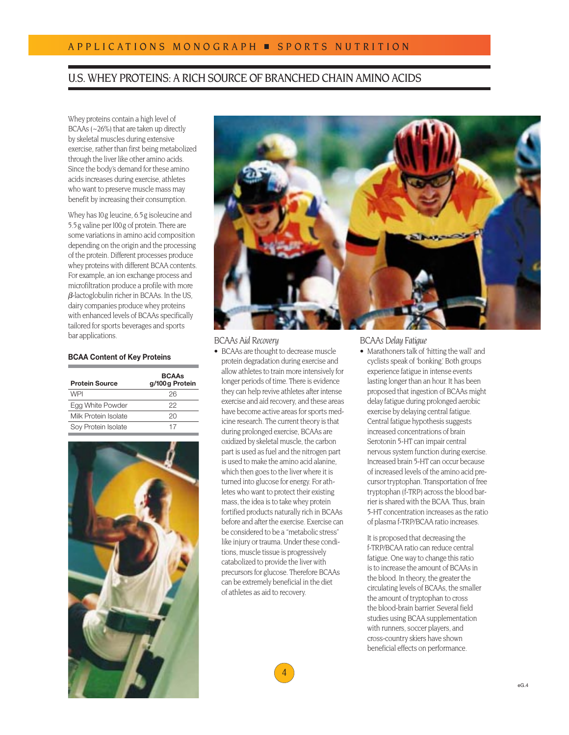# U.S. WHEY PROTEINS: A RICH SOURCE OF BRANCHED CHAIN AMINO ACIDS

Whey proteins contain a high level of BCAAs (~26%) that are taken up directly by skeletal muscles during extensive exercise, rather than first being metabolized through the liver like other amino acids. Since the body's demand for these amino acids increases during exercise, athletes who want to preserve muscle mass may benefit by increasing their consumption.

Whey has 10g leucine, 6.5g isoleucine and 5.5g valine per100g of protein. There are some variations in amino acid composition depending on the origin and the processing of the protein. Different processes produce whey proteins with different BCAA contents. For example, an ion exchange process and microfiltration produce a profile with more  $\beta$ -lactoglobulin richer in BCAAs. In the US, dairy companies produce whey proteins with enhanced levels of BCAAs specifically tailored for sports beverages and sports bar applications. *BCAAs Delay Fatigue*

#### **BCAA Content of Key Proteins**

| <b>Protein Source</b> | <b>BCAAs</b><br>g/100 g Protein |
|-----------------------|---------------------------------|
| WPI                   | 26                              |
| Egg White Powder      | クク                              |
| Milk Protein Isolate  | 2Ο                              |
| Soy Protein Isolate   | 17                              |





## *BCAAs Aid Recovery*

• BCAAs are thought to decrease muscle protein degradation during exercise and allow athletes to train more intensively for longer periods of time. There is evidence they can help revive athletes after intense exercise and aid recovery, and these areas have become active areas for sports medicine research. The current theory is that during prolonged exercise, BCAAs are oxidized by skeletal muscle, the carbon part is used as fuel and the nitrogen part is used to make the amino acid alanine, which then goes to the liver where it is turned into glucose for energy. For athletes who want to protect their existing mass, the idea is to take whey protein fortified products naturally rich in BCAAs before and after the exercise. Exercise can be considered to be a ''metabolic stress'' like injury or trauma. Under these conditions, muscle tissue is progressively catabolized to provide the liver with precursors for glucose. Therefore BCAAs can be extremely beneficial in the diet of athletes as aid to recovery.

4

• Marathoners talk of 'hitting the wall' and cyclists speak of 'bonking.' Both groups experience fatigue in intense events lasting longer than an hour. It has been proposed that ingestion of BCAAs might delay fatigue during prolonged aerobic exercise by delaying central fatigue. Central fatigue hypothesis suggests increased concentrations of brain Serotonin 5-HT can impair central nervous system function during exercise. Increased brain 5-HT can occur because of increased levels of the amino acid precursor tryptophan. Transportation of free tryptophan (f-TRP) across the blood barrier is shared with the BCAA. Thus, brain 5-HT concentration increases as the ratio of plasma f-TRP/BCAA ratio increases.

It is proposed that decreasing the f-TRP/BCAA ratio can reduce central fatigue. One way to change this ratio is to increase the amount of BCAAs in the blood. In theory, the greater the circulating levels of BCAAs, the smaller the amount of tryptophan to cross the blood-brain barrier. Several field studies using BCAA supplementation with runners, soccer players, and cross-country skiers have shown beneficial effects on performance.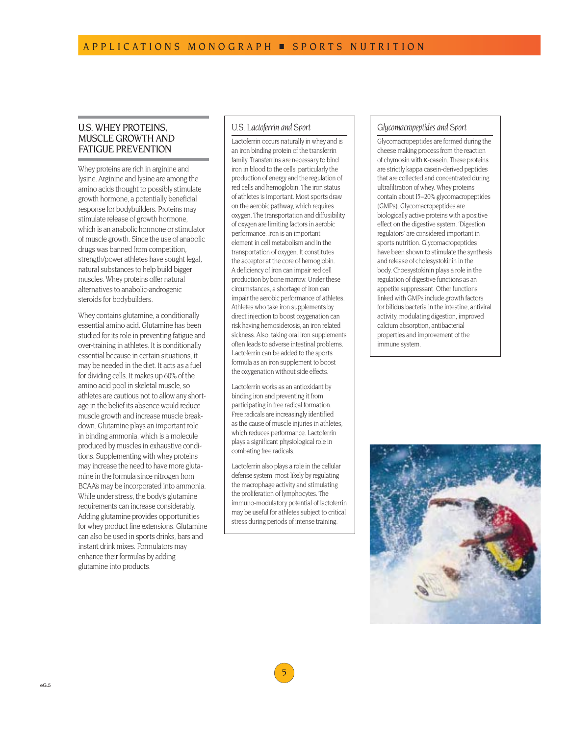# U.S. WHEY PROTEINS, MUSCLE GROWTH AND FATIGUE PREVENTION

Whey proteins are rich in arginine and lysine. Arginine and lysine are among the amino acids thought to possibly stimulate growth hormone, a potentially beneficial response for bodybuilders. Proteins may stimulate release of growth hormone, which is an anabolic hormone or stimulator of muscle growth. Since the use of anabolic drugs was banned from competition, strength/power athletes have sought legal, natural substances to help build bigger muscles. Whey proteins offer natural alternatives to anabolic-androgenic steroids for bodybuilders.

Whey contains glutamine, a conditionally essential amino acid. Glutamine has been studied for its role in preventing fatigue and over-training in athletes. It is conditionally essential because in certain situations, it may be needed in the diet. It acts as a fuel for dividing cells. It makes up 60% of the amino acid pool in skeletal muscle, so athletes are cautious not to allow any shortage in the belief its absence would reduce muscle growth and increase muscle breakdown. Glutamine plays an important role in binding ammonia, which is a molecule produced by muscles in exhaustive conditions. Supplementing with whey proteins may increase the need to have more glutamine in the formula since nitrogen from BCAA's may be incorporated into ammonia. While under stress, the body's glutamine requirements can increase considerably. Adding glutamine provides opportunities for whey product line extensions. Glutamine can also be used in sports drinks, bars and instant drink mixes. Formulators may enhance their formulas by adding glutamine into products.

# *U.S. Lactoferrin and Sport*

Lactoferrin occurs naturally in whey and is an iron binding protein of the transferrin family. Transferrins are necessary to bind iron in blood to the cells, particularly the production of energy and the regulation of red cells and hemoglobin. The iron status of athletes is important. Most sports draw on the aerobic pathway, which requires oxygen. The transportation and diffusibility of oxygen are limiting factors in aerobic performance. Iron is an important element in cell metabolism and in the transportation of oxygen. It constitutes the acceptor at the core of hemoglobin. A deficiency of iron can impair red cell production by bone marrow. Under these circumstances, a shortage of iron can impair the aerobic performance of athletes. Athletes who take iron supplements by direct injection to boost oxygenation can risk having hemosiderosis, an iron related sickness. Also, taking oral iron supplements often leads to adverse intestinal problems. Lactoferrin can be added to the sports formula as an iron supplement to boost the oxygenation without side effects.

Lactoferrin works as an antioxidant by binding iron and preventing it from participating in free radical formation. Free radicals are increasingly identified as the cause of muscle injuries in athletes, which reduces performance. Lactoferrin plays a significant physiological role in combating free radicals.

Lactoferrin also plays a role in the cellular defense system, most likely by regulating the macrophage activity and stimulating the proliferation of lymphocytes. The immuno-modulatory potential of lactoferrin may be useful for athletes subject to critical stress during periods of intense training.

# *Glycomacropeptides and Sport*

Glycomacropeptides are formed during the cheese making process from the reaction of chymosin with K-casein. These proteins are strictly kappa casein-derived peptides that are collected and concentrated during ultrafiltration of whey. Whey proteins contain about 15–20% glycomacropeptides (GMPs). Glycomacropeptides are biologically active proteins with a positive effect on the digestive system. 'Digestion regulators' are considered important in sports nutrition. Glycomacropeptides have been shown to stimulate the synthesis and release of cholesystokinin in the body. Choesystokinin plays a role in the regulation of digestive functions as an appetite suppressant. Other functions linked with GMPs include growth factors for bifidus bacteria in the intestine, antiviral activity, modulating digestion, improved calcium absorption, antibacterial properties and improvement of the immune system.



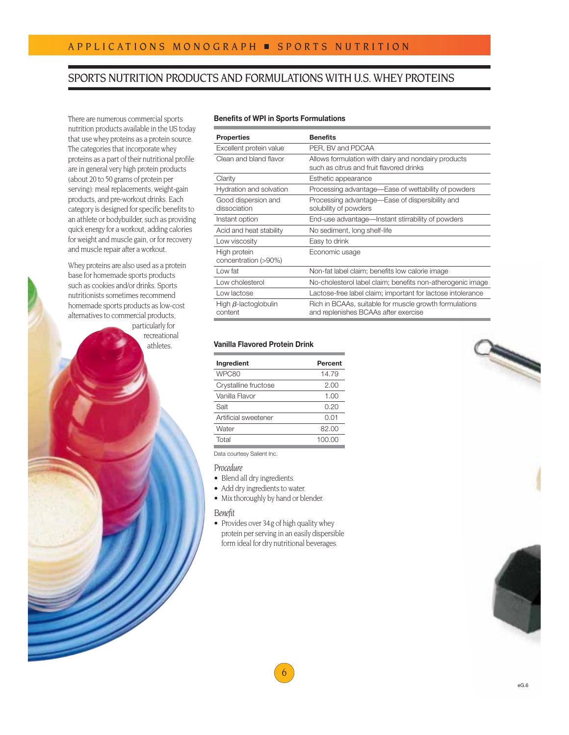# SPORTS NUTRITION PRODUCTS AND FORMULATIONS WITH U.S. WHEY PROTEINS

There are numerous commercial sports nutrition products available in the US today that use whey proteins as a protein source. The categories that incorporate whey proteins as a part of their nutritional profile are in general very high protein products (about 20 to 50 grams of protein per serving): meal replacements, weight-gain products, and pre-workout drinks. Each category is designed for specific benefits to an athlete or bodybuilder, such as providing quick energy for a workout, adding calories for weight and muscle gain, or for recovery and muscle repair after a workout.

Whey proteins are also used as a protein base for homemade sports products such as cookies and/or drinks. Sports nutritionists sometimes recommend homemade sports products as low-cost alternatives to commercial products, particularly for

> recreational athletes.

# **Benefits of WPI in Sports Formulations**

| <b>Properties</b>                      | <b>Benefits</b>                                                                                 |
|----------------------------------------|-------------------------------------------------------------------------------------------------|
| Excellent protein value                | PER, BV and PDCAA                                                                               |
| Clean and bland flavor                 | Allows formulation with dairy and nondairy products<br>such as citrus and fruit flavored drinks |
| Clarity                                | Esthetic appearance                                                                             |
| Hydration and solvation                | Processing advantage—Ease of wettability of powders                                             |
| Good dispersion and<br>dissociation    | Processing advantage—Ease of dispersibility and<br>solubility of powders                        |
| Instant option                         | End-use advantage—Instant stirrability of powders                                               |
| Acid and heat stability                | No sediment, long shelf-life                                                                    |
| Low viscosity                          | Easy to drink                                                                                   |
| High protein<br>concentration (>90%)   | Economic usage                                                                                  |
| Low fat                                | Non-fat label claim; benefits low calorie image                                                 |
| Low cholesterol                        | No-cholesterol label claim; benefits non-atherogenic image                                      |
| Low lactose                            | Lactose-free label claim; important for lactose intolerance                                     |
| High $\beta$ -lactoglobulin<br>content | Rich in BCAAs, suitable for muscle growth formulations<br>and replenishes BCAAs after exercise  |

# **Vanilla Flavored Protein Drink**

| Ingredient           | Percent |
|----------------------|---------|
| WPC80                | 14.79   |
| Crystalline fructose | 2.00    |
| Vanilla Flavor       | 1.00    |
| Salt                 | 0.20    |
| Artificial sweetener | 0.01    |
| Water                | 82.00   |
| Total                | 100.00  |

Data courtesy Salient Inc.

# *Procedure*

- Blend all dry ingredients.
- Add dry ingredients to water.
- Mix thoroughly by hand or blender.

#### *Benefit*

• Provides over 34g of high quality whey protein per serving in an easily dispersible form ideal for dry nutritional beverages.

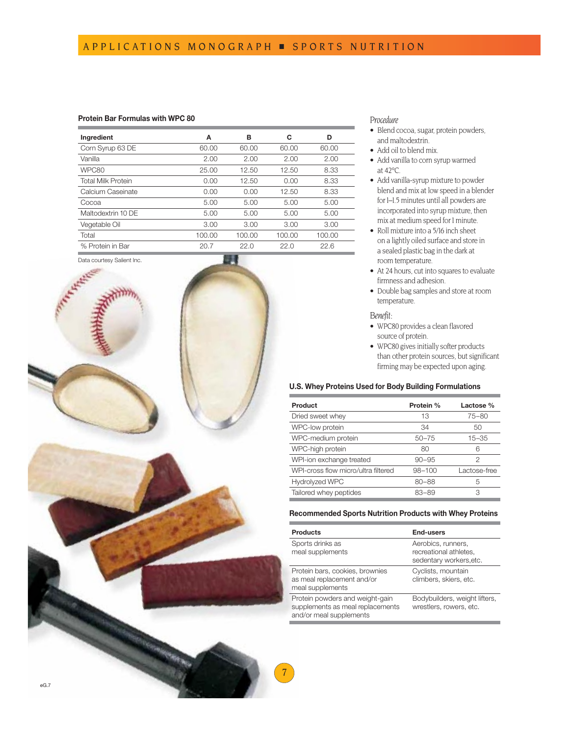## **Protein Bar Formulas with WPC 80**

| Ingredient                | A      | в      | C      | D      |
|---------------------------|--------|--------|--------|--------|
| Corn Syrup 63 DE          | 60.00  | 60.00  | 60.00  | 60.00  |
| Vanilla                   | 2.00   | 2.00   | 2.00   | 2.00   |
| WPC80                     | 25.00  | 12.50  | 12.50  | 8.33   |
| <b>Total Milk Protein</b> | 0.00   | 12.50  | 0.00   | 8.33   |
| Calcium Caseinate         | 0.00   | 0.00   | 12.50  | 8.33   |
| Cocoa                     | 5.00   | 5.00   | 5.00   | 5.00   |
| Maltodextrin 10 DE        | 5.00   | 5.00   | 5.00   | 5.00   |
| Vegetable Oil             | 3.00   | 3.00   | 3.00   | 3.00   |
| Total                     | 100.00 | 100.00 | 100.00 | 100.00 |
| % Protein in Bar          | 20.7   | 22.0   | 22.0   | 22.6   |
|                           |        |        |        |        |

Data courtesy Salient Inc.



## *Procedure*

- Blend cocoa, sugar, protein powders, and maltodextrin.
- Add oil to blend mix.
- Add vanilla to corn syrup warmed at 42°C.
- Add vanilla-syrup mixture to powder blend and mix at low speed in a blender for I-1.5 minutes until all powders are incorporated into syrup mixture, then mix at medium speed for 1 minute.
- Roll mixture into a 5/16 inch sheet on a lightly oiled surface and store in a sealed plastic bag in the dark at room temperature.
- At 24 hours, cut into squares to evaluate firmness and adhesion.
- Double bag samples and store at room temperature.

#### *Benefit:*

- WPC80 provides a clean flavored source of protein.
- WPC80 gives initially softer products than other protein sources, but significant firming may be expected upon aging.

# **U.S. Whey Proteins Used for Body Building Formulations**

| Product                             | Protein %  | Lactose %    |
|-------------------------------------|------------|--------------|
| Dried sweet whey                    | 13         | $75 - 80$    |
| WPC-low protein                     | 34         | 50           |
| WPC-medium protein                  | $50 - 75$  | $15 - 35$    |
| WPC-high protein                    | 80         | 6            |
| WPI-ion exchange treated            | $90 - 95$  | 2            |
| WPI-cross flow micro/ultra filtered | $98 - 100$ | Lactose-free |
| <b>Hydrolyzed WPC</b>               | $80 - 88$  | 5            |
| Tailored whey peptides              | $83 - 89$  | 3            |

## **Recommended Sports Nutrition Products with Whey Proteins**

| <b>Products</b>                                                                                | <b>End-users</b>                                                        |
|------------------------------------------------------------------------------------------------|-------------------------------------------------------------------------|
| Sports drinks as<br>meal supplements                                                           | Aerobics, runners,<br>recreational athletes,<br>sedentary workers, etc. |
| Protein bars, cookies, brownies<br>as meal replacement and/or<br>meal supplements              | Cyclists, mountain<br>climbers, skiers, etc.                            |
| Protein powders and weight-gain<br>supplements as meal replacements<br>and/or meal supplements | Bodybuilders, weight lifters,<br>wrestlers, rowers, etc.                |

7